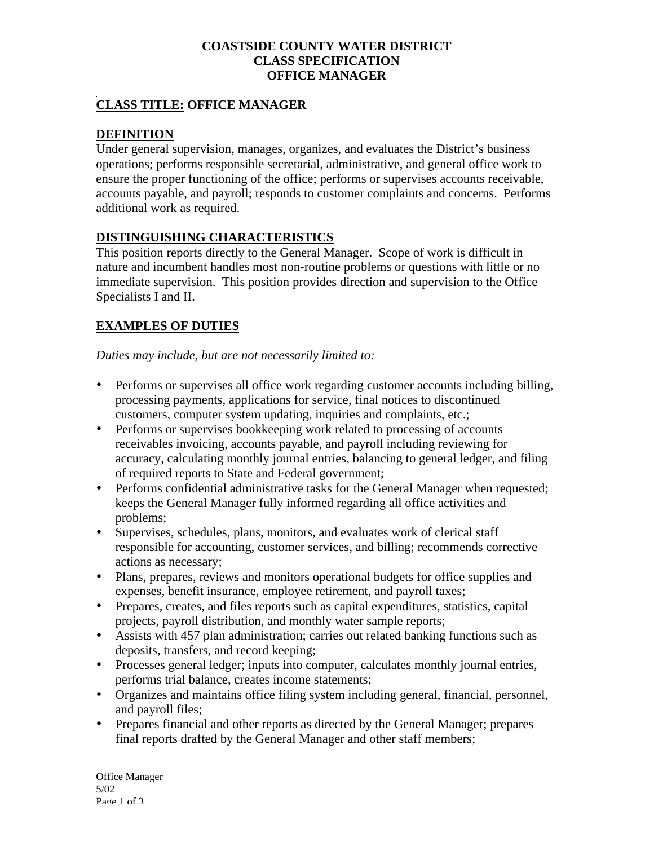#### **COASTSIDE COUNTY WATER DISTRICT CLASS SPECIFICATION OFFICE MANAGER**

#### **CLASS TITLE: OFFICE MANAGER**

### **DEFINITION**

Under general supervision, manages, organizes, and evaluates the District's business operations; performs responsible secretarial, administrative, and general office work to ensure the proper functioning of the office; performs or supervises accounts receivable, accounts payable, and payroll; responds to customer complaints and concerns. Performs additional work as required.

### **DISTINGUISHING CHARACTERISTICS**

This position reports directly to the General Manager. Scope of work is difficult in nature and incumbent handles most non-routine problems or questions with little or no immediate supervision. This position provides direction and supervision to the Office Specialists I and II.

# **EXAMPLES OF DUTIES**

*Duties may include, but are not necessarily limited to:*

- Performs or supervises all office work regarding customer accounts including billing, processing payments, applications for service, final notices to discontinued customers, computer system updating, inquiries and complaints, etc.;
- Performs or supervises bookkeeping work related to processing of accounts receivables invoicing, accounts payable, and payroll including reviewing for accuracy, calculating monthly journal entries, balancing to general ledger, and filing of required reports to State and Federal government;
- Performs confidential administrative tasks for the General Manager when requested; keeps the General Manager fully informed regarding all office activities and problems;
- Supervises, schedules, plans, monitors, and evaluates work of clerical staff responsible for accounting, customer services, and billing; recommends corrective actions as necessary;
- Plans, prepares, reviews and monitors operational budgets for office supplies and expenses, benefit insurance, employee retirement, and payroll taxes;
- Prepares, creates, and files reports such as capital expenditures, statistics, capital projects, payroll distribution, and monthly water sample reports;
- Assists with 457 plan administration; carries out related banking functions such as deposits, transfers, and record keeping;
- Processes general ledger; inputs into computer, calculates monthly journal entries, performs trial balance, creates income statements;
- Organizes and maintains office filing system including general, financial, personnel, and payroll files;
- Prepares financial and other reports as directed by the General Manager; prepares final reports drafted by the General Manager and other staff members;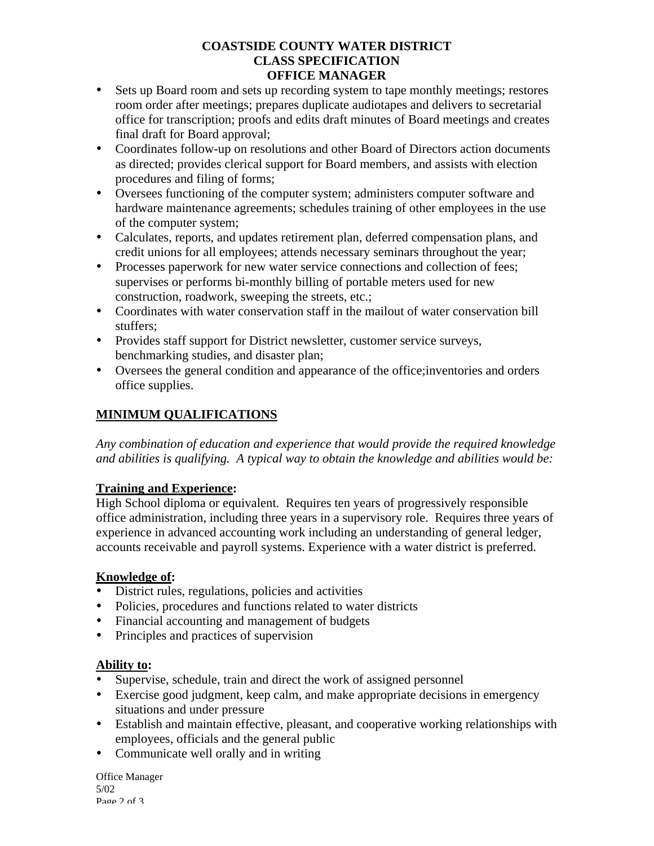#### **COASTSIDE COUNTY WATER DISTRICT CLASS SPECIFICATION OFFICE MANAGER**

- Sets up Board room and sets up recording system to tape monthly meetings; restores room order after meetings; prepares duplicate audiotapes and delivers to secretarial office for transcription; proofs and edits draft minutes of Board meetings and creates final draft for Board approval;
- Coordinates follow-up on resolutions and other Board of Directors action documents as directed; provides clerical support for Board members, and assists with election procedures and filing of forms;
- Oversees functioning of the computer system; administers computer software and hardware maintenance agreements; schedules training of other employees in the use of the computer system;
- Calculates, reports, and updates retirement plan, deferred compensation plans, and credit unions for all employees; attends necessary seminars throughout the year;
- Processes paperwork for new water service connections and collection of fees; supervises or performs bi-monthly billing of portable meters used for new construction, roadwork, sweeping the streets, etc.;
- Coordinates with water conservation staff in the mailout of water conservation bill stuffers;
- Provides staff support for District newsletter, customer service surveys, benchmarking studies, and disaster plan;
- Oversees the general condition and appearance of the office;inventories and orders office supplies.

# **MINIMUM QUALIFICATIONS**

*Any combination of education and experience that would provide the required knowledge and abilities is qualifying. A typical way to obtain the knowledge and abilities would be:*

# **Training and Experience:**

High School diploma or equivalent. Requires ten years of progressively responsible office administration, including three years in a supervisory role. Requires three years of experience in advanced accounting work including an understanding of general ledger, accounts receivable and payroll systems. Experience with a water district is preferred.

# **Knowledge of:**

- District rules, regulations, policies and activities
- Policies, procedures and functions related to water districts
- Financial accounting and management of budgets
- Principles and practices of supervision

# **Ability to:**

- Supervise, schedule, train and direct the work of assigned personnel
- Exercise good judgment, keep calm, and make appropriate decisions in emergency situations and under pressure
- Establish and maintain effective, pleasant, and cooperative working relationships with employees, officials and the general public
- Communicate well orally and in writing

Office Manager 5/02 Page 2 of 3